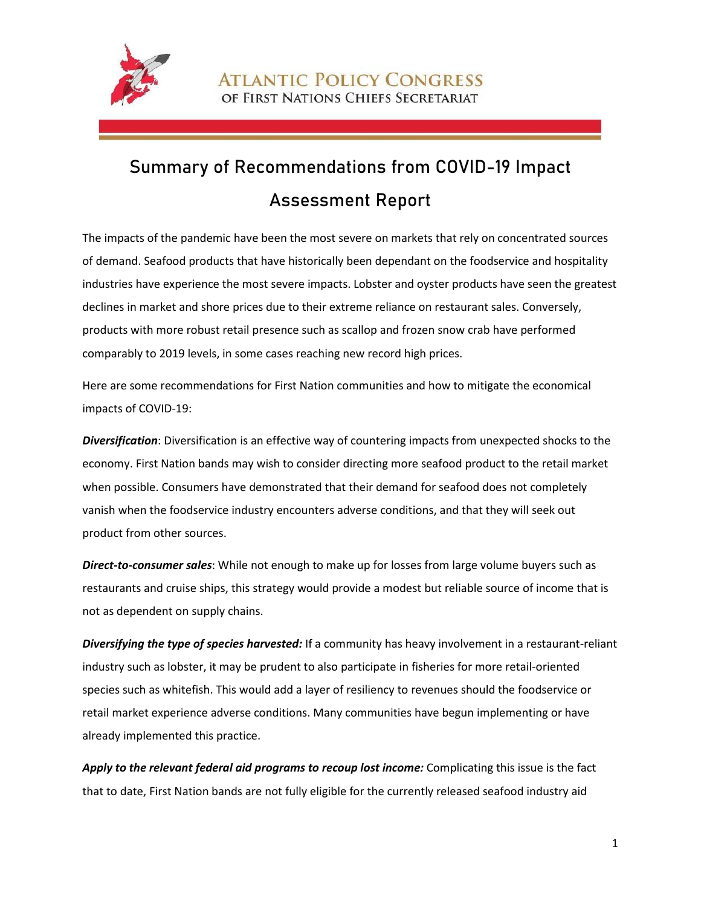

**ATLANTIC POLICY CONGRESS** OF FIRST NATIONS CHIEFS SECRETARIAT

## Summary of Recommendations from COVID-19 Impact Assessment Report

The impacts of the pandemic have been the most severe on markets that rely on concentrated sources of demand. Seafood products that have historically been dependant on the foodservice and hospitality industries have experience the most severe impacts. Lobster and oyster products have seen the greatest declines in market and shore prices due to their extreme reliance on restaurant sales. Conversely, products with more robust retail presence such as scallop and frozen snow crab have performed comparably to 2019 levels, in some cases reaching new record high prices.

Here are some recommendations for First Nation communities and how to mitigate the economical impacts of COVID-19:

*Diversification*: Diversification is an effective way of countering impacts from unexpected shocks to the economy. First Nation bands may wish to consider directing more seafood product to the retail market when possible. Consumers have demonstrated that their demand for seafood does not completely vanish when the foodservice industry encounters adverse conditions, and that they will seek out product from other sources.

*Direct-to-consumer sales*: While not enough to make up for losses from large volume buyers such as restaurants and cruise ships, this strategy would provide a modest but reliable source of income that is not as dependent on supply chains.

*Diversifying the type of species harvested:* If a community has heavy involvement in a restaurant-reliant industry such as lobster, it may be prudent to also participate in fisheries for more retail-oriented species such as whitefish. This would add a layer of resiliency to revenues should the foodservice or retail market experience adverse conditions. Many communities have begun implementing or have already implemented this practice.

Apply to the relevant federal aid programs to recoup lost income: Complicating this issue is the fact that to date, First Nation bands are not fully eligible for the currently released seafood industry aid